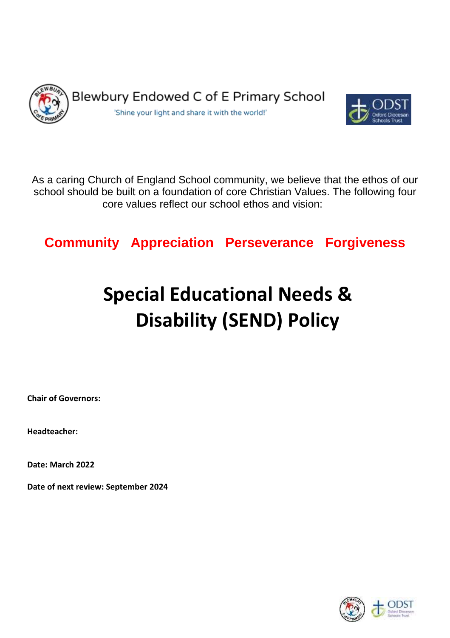



As a caring Church of England School community, we believe that the ethos of our school should be built on a foundation of core Christian Values. The following four core values reflect our school ethos and vision:

**Community Appreciation Perseverance Forgiveness**

# **Special Educational Needs & Disability (SEND) Policy**

**Chair of Governors:**

**Headteacher:**

**Date: March 2022**

**Date of next review: September 2024**

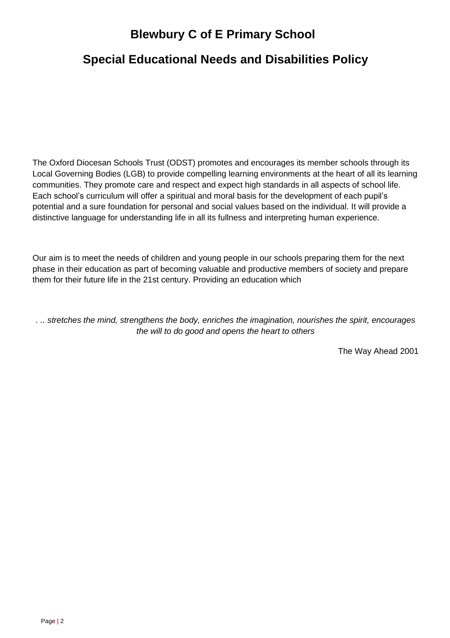# **Blewbury C of E Primary School**

# **Special Educational Needs and Disabilities Policy**

The Oxford Diocesan Schools Trust (ODST) promotes and encourages its member schools through its Local Governing Bodies (LGB) to provide compelling learning environments at the heart of all its learning communities. They promote care and respect and expect high standards in all aspects of school life. Each school's curriculum will offer a spiritual and moral basis for the development of each pupil's potential and a sure foundation for personal and social values based on the individual. It will provide a distinctive language for understanding life in all its fullness and interpreting human experience.

Our aim is to meet the needs of children and young people in our schools preparing them for the next phase in their education as part of becoming valuable and productive members of society and prepare them for their future life in the 21st century. Providing an education which

*. .. stretches the mind, strengthens the body, enriches the imagination, nourishes the spirit, encourages the will to do good and opens the heart to others*

The Way Ahead 2001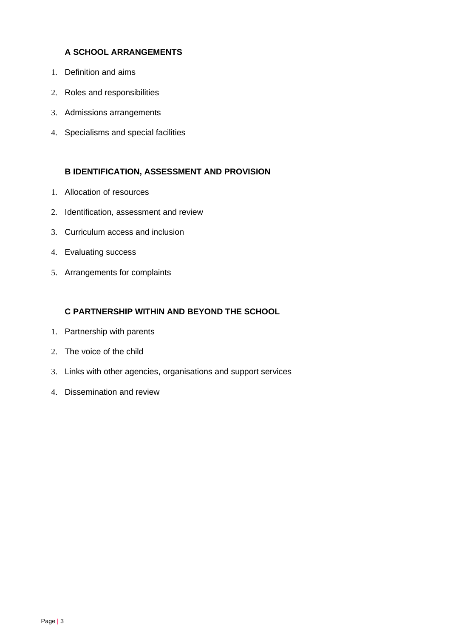## **A SCHOOL ARRANGEMENTS**

- 1. Definition and aims
- 2. Roles and responsibilities
- 3. Admissions arrangements
- 4. Specialisms and special facilities

## **B IDENTIFICATION, ASSESSMENT AND PROVISION**

- 1. Allocation of resources
- 2. Identification, assessment and review
- 3. Curriculum access and inclusion
- 4. Evaluating success
- 5. Arrangements for complaints

## **C PARTNERSHIP WITHIN AND BEYOND THE SCHOOL**

- 1. Partnership with parents
- 2. The voice of the child
- 3. Links with other agencies, organisations and support services
- 4. Dissemination and review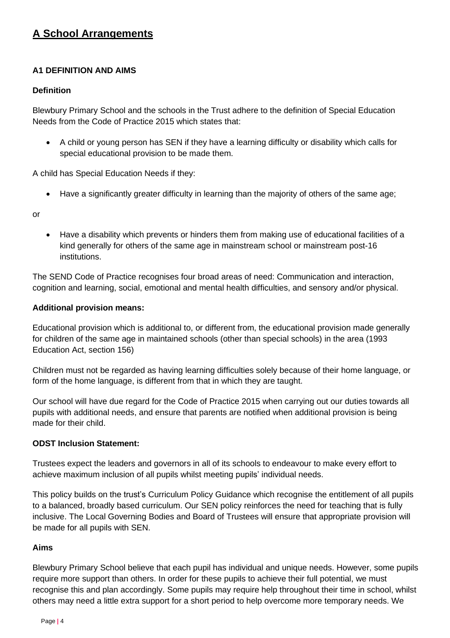## **A School Arrangements**

## **A1 DEFINITION AND AIMS**

## **Definition**

Blewbury Primary School and the schools in the Trust adhere to the definition of Special Education Needs from the Code of Practice 2015 which states that:

• A child or young person has SEN if they have a learning difficulty or disability which calls for special educational provision to be made them.

A child has Special Education Needs if they:

• Have a significantly greater difficulty in learning than the majority of others of the same age;

or

• Have a disability which prevents or hinders them from making use of educational facilities of a kind generally for others of the same age in mainstream school or mainstream post-16 institutions.

The SEND Code of Practice recognises four broad areas of need: Communication and interaction, cognition and learning, social, emotional and mental health difficulties, and sensory and/or physical.

## **Additional provision means:**

Educational provision which is additional to, or different from, the educational provision made generally for children of the same age in maintained schools (other than special schools) in the area (1993 Education Act, section 156)

Children must not be regarded as having learning difficulties solely because of their home language, or form of the home language, is different from that in which they are taught.

Our school will have due regard for the Code of Practice 2015 when carrying out our duties towards all pupils with additional needs, and ensure that parents are notified when additional provision is being made for their child.

## **ODST Inclusion Statement:**

Trustees expect the leaders and governors in all of its schools to endeavour to make every effort to achieve maximum inclusion of all pupils whilst meeting pupils' individual needs.

This policy builds on the trust's Curriculum Policy Guidance which recognise the entitlement of all pupils to a balanced, broadly based curriculum. Our SEN policy reinforces the need for teaching that is fully inclusive. The Local Governing Bodies and Board of Trustees will ensure that appropriate provision will be made for all pupils with SEN.

## **Aims**

Blewbury Primary School believe that each pupil has individual and unique needs. However, some pupils require more support than others. In order for these pupils to achieve their full potential, we must recognise this and plan accordingly. Some pupils may require help throughout their time in school, whilst others may need a little extra support for a short period to help overcome more temporary needs. We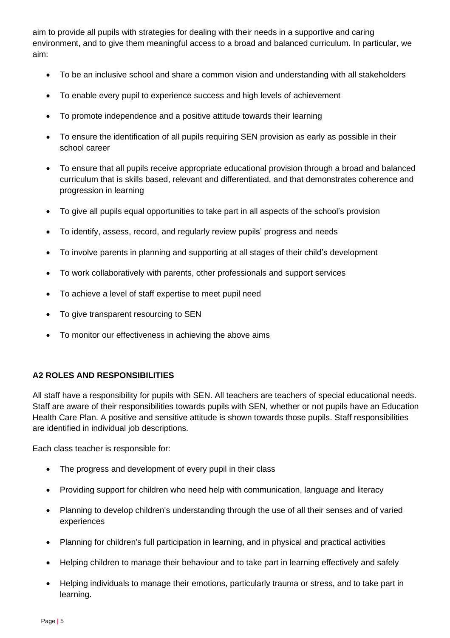aim to provide all pupils with strategies for dealing with their needs in a supportive and caring environment, and to give them meaningful access to a broad and balanced curriculum. In particular, we aim:

- To be an inclusive school and share a common vision and understanding with all stakeholders
- To enable every pupil to experience success and high levels of achievement
- To promote independence and a positive attitude towards their learning
- To ensure the identification of all pupils requiring SEN provision as early as possible in their school career
- To ensure that all pupils receive appropriate educational provision through a broad and balanced curriculum that is skills based, relevant and differentiated, and that demonstrates coherence and progression in learning
- To give all pupils equal opportunities to take part in all aspects of the school's provision
- To identify, assess, record, and regularly review pupils' progress and needs
- To involve parents in planning and supporting at all stages of their child's development
- To work collaboratively with parents, other professionals and support services
- To achieve a level of staff expertise to meet pupil need
- To give transparent resourcing to SEN
- To monitor our effectiveness in achieving the above aims

#### **A2 ROLES AND RESPONSIBILITIES**

All staff have a responsibility for pupils with SEN. All teachers are teachers of special educational needs. Staff are aware of their responsibilities towards pupils with SEN, whether or not pupils have an Education Health Care Plan. A positive and sensitive attitude is shown towards those pupils. Staff responsibilities are identified in individual job descriptions.

Each class teacher is responsible for:

- The progress and development of every pupil in their class
- Providing support for children who need help with communication, language and literacy
- Planning to develop children's understanding through the use of all their senses and of varied experiences
- Planning for children's full participation in learning, and in physical and practical activities
- Helping children to manage their behaviour and to take part in learning effectively and safely
- Helping individuals to manage their emotions, particularly trauma or stress, and to take part in learning.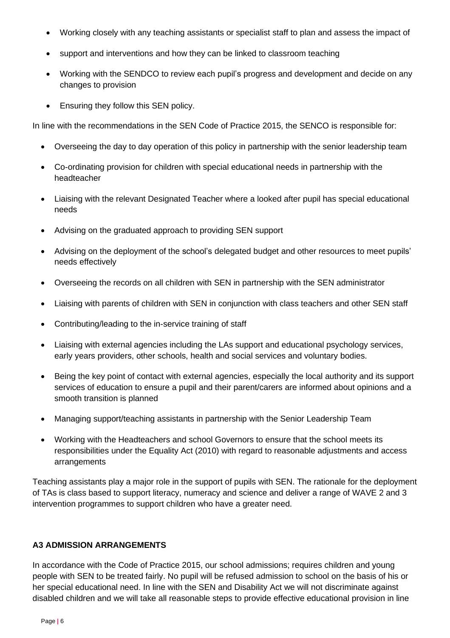- Working closely with any teaching assistants or specialist staff to plan and assess the impact of
- support and interventions and how they can be linked to classroom teaching
- Working with the SENDCO to review each pupil's progress and development and decide on any changes to provision
- Ensuring they follow this SEN policy.

In line with the recommendations in the SEN Code of Practice 2015, the SENCO is responsible for:

- Overseeing the day to day operation of this policy in partnership with the senior leadership team
- Co-ordinating provision for children with special educational needs in partnership with the headteacher
- Liaising with the relevant Designated Teacher where a looked after pupil has special educational needs
- Advising on the graduated approach to providing SEN support
- Advising on the deployment of the school's delegated budget and other resources to meet pupils' needs effectively
- Overseeing the records on all children with SEN in partnership with the SEN administrator
- Liaising with parents of children with SEN in conjunction with class teachers and other SEN staff
- Contributing/leading to the in-service training of staff
- Liaising with external agencies including the LAs support and educational psychology services, early years providers, other schools, health and social services and voluntary bodies.
- Being the key point of contact with external agencies, especially the local authority and its support services of education to ensure a pupil and their parent/carers are informed about opinions and a smooth transition is planned
- Managing support/teaching assistants in partnership with the Senior Leadership Team
- Working with the Headteachers and school Governors to ensure that the school meets its responsibilities under the Equality Act (2010) with regard to reasonable adjustments and access arrangements

Teaching assistants play a major role in the support of pupils with SEN. The rationale for the deployment of TAs is class based to support literacy, numeracy and science and deliver a range of WAVE 2 and 3 intervention programmes to support children who have a greater need.

### **A3 ADMISSION ARRANGEMENTS**

In accordance with the Code of Practice 2015, our school admissions; requires children and young people with SEN to be treated fairly. No pupil will be refused admission to school on the basis of his or her special educational need. In line with the SEN and Disability Act we will not discriminate against disabled children and we will take all reasonable steps to provide effective educational provision in line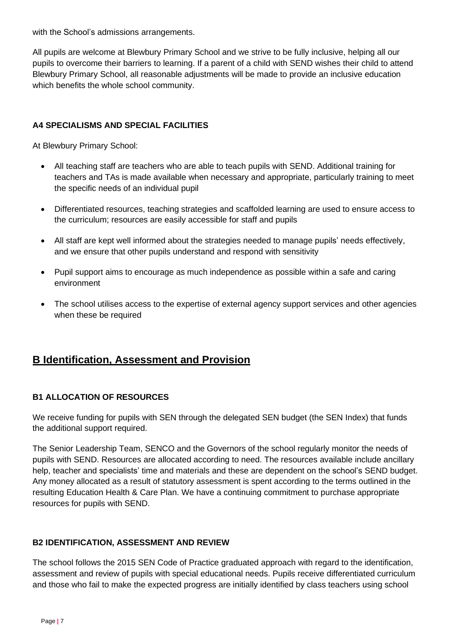with the School's admissions arrangements.

All pupils are welcome at Blewbury Primary School and we strive to be fully inclusive, helping all our pupils to overcome their barriers to learning. If a parent of a child with SEND wishes their child to attend Blewbury Primary School, all reasonable adjustments will be made to provide an inclusive education which benefits the whole school community.

## **A4 SPECIALISMS AND SPECIAL FACILITIES**

At Blewbury Primary School:

- All teaching staff are teachers who are able to teach pupils with SEND. Additional training for teachers and TAs is made available when necessary and appropriate, particularly training to meet the specific needs of an individual pupil
- Differentiated resources, teaching strategies and scaffolded learning are used to ensure access to the curriculum; resources are easily accessible for staff and pupils
- All staff are kept well informed about the strategies needed to manage pupils' needs effectively, and we ensure that other pupils understand and respond with sensitivity
- Pupil support aims to encourage as much independence as possible within a safe and caring environment
- The school utilises access to the expertise of external agency support services and other agencies when these be required

## **B Identification, Assessment and Provision**

## **B1 ALLOCATION OF RESOURCES**

We receive funding for pupils with SEN through the delegated SEN budget (the SEN Index) that funds the additional support required.

The Senior Leadership Team, SENCO and the Governors of the school regularly monitor the needs of pupils with SEND. Resources are allocated according to need. The resources available include ancillary help, teacher and specialists' time and materials and these are dependent on the school's SEND budget. Any money allocated as a result of statutory assessment is spent according to the terms outlined in the resulting Education Health & Care Plan. We have a continuing commitment to purchase appropriate resources for pupils with SEND.

## **B2 IDENTIFICATION, ASSESSMENT AND REVIEW**

The school follows the 2015 SEN Code of Practice graduated approach with regard to the identification, assessment and review of pupils with special educational needs. Pupils receive differentiated curriculum and those who fail to make the expected progress are initially identified by class teachers using school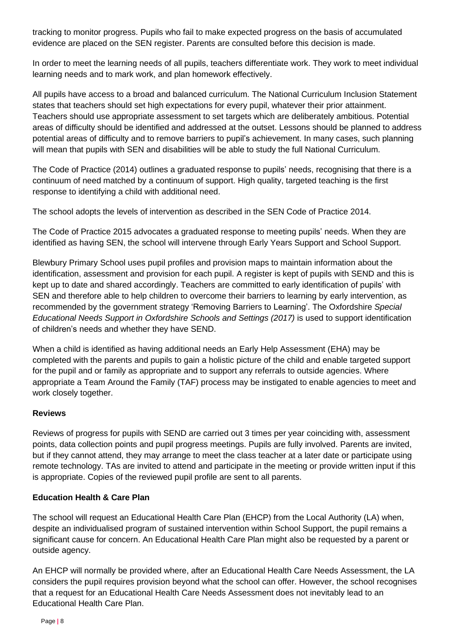tracking to monitor progress. Pupils who fail to make expected progress on the basis of accumulated evidence are placed on the SEN register. Parents are consulted before this decision is made.

In order to meet the learning needs of all pupils, teachers differentiate work. They work to meet individual learning needs and to mark work, and plan homework effectively.

All pupils have access to a broad and balanced curriculum. The National Curriculum Inclusion Statement states that teachers should set high expectations for every pupil, whatever their prior attainment. Teachers should use appropriate assessment to set targets which are deliberately ambitious. Potential areas of difficulty should be identified and addressed at the outset. Lessons should be planned to address potential areas of difficulty and to remove barriers to pupil's achievement. In many cases, such planning will mean that pupils with SEN and disabilities will be able to study the full National Curriculum.

The Code of Practice (2014) outlines a graduated response to pupils' needs, recognising that there is a continuum of need matched by a continuum of support. High quality, targeted teaching is the first response to identifying a child with additional need.

The school adopts the levels of intervention as described in the SEN Code of Practice 2014.

The Code of Practice 2015 advocates a graduated response to meeting pupils' needs. When they are identified as having SEN, the school will intervene through Early Years Support and School Support.

Blewbury Primary School uses pupil profiles and provision maps to maintain information about the identification, assessment and provision for each pupil. A register is kept of pupils with SEND and this is kept up to date and shared accordingly. Teachers are committed to early identification of pupils' with SEN and therefore able to help children to overcome their barriers to learning by early intervention, as recommended by the government strategy 'Removing Barriers to Learning'. The Oxfordshire *Special Educational Needs Support in Oxfordshire Schools and Settings (2017)* is used to support identification of children's needs and whether they have SEND.

When a child is identified as having additional needs an Early Help Assessment (EHA) may be completed with the parents and pupils to gain a holistic picture of the child and enable targeted support for the pupil and or family as appropriate and to support any referrals to outside agencies. Where appropriate a Team Around the Family (TAF) process may be instigated to enable agencies to meet and work closely together.

### **Reviews**

Reviews of progress for pupils with SEND are carried out 3 times per year coinciding with, assessment points, data collection points and pupil progress meetings. Pupils are fully involved. Parents are invited, but if they cannot attend, they may arrange to meet the class teacher at a later date or participate using remote technology. TAs are invited to attend and participate in the meeting or provide written input if this is appropriate. Copies of the reviewed pupil profile are sent to all parents.

## **Education Health & Care Plan**

The school will request an Educational Health Care Plan (EHCP) from the Local Authority (LA) when, despite an individualised program of sustained intervention within School Support, the pupil remains a significant cause for concern. An Educational Health Care Plan might also be requested by a parent or outside agency.

An EHCP will normally be provided where, after an Educational Health Care Needs Assessment, the LA considers the pupil requires provision beyond what the school can offer. However, the school recognises that a request for an Educational Health Care Needs Assessment does not inevitably lead to an Educational Health Care Plan.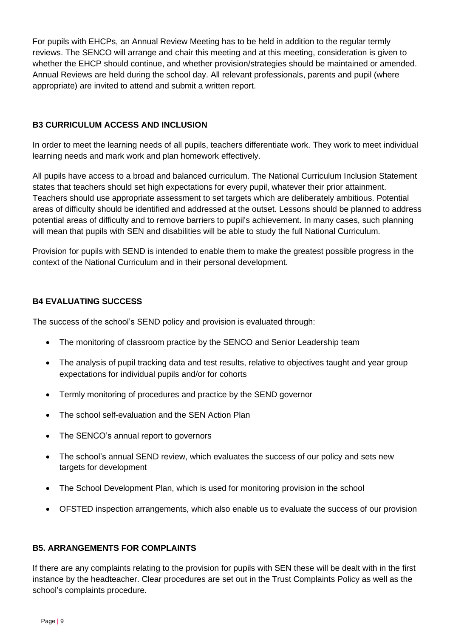For pupils with EHCPs, an Annual Review Meeting has to be held in addition to the regular termly reviews. The SENCO will arrange and chair this meeting and at this meeting, consideration is given to whether the EHCP should continue, and whether provision/strategies should be maintained or amended. Annual Reviews are held during the school day. All relevant professionals, parents and pupil (where appropriate) are invited to attend and submit a written report.

## **B3 CURRICULUM ACCESS AND INCLUSION**

In order to meet the learning needs of all pupils, teachers differentiate work. They work to meet individual learning needs and mark work and plan homework effectively.

All pupils have access to a broad and balanced curriculum. The National Curriculum Inclusion Statement states that teachers should set high expectations for every pupil, whatever their prior attainment. Teachers should use appropriate assessment to set targets which are deliberately ambitious. Potential areas of difficulty should be identified and addressed at the outset. Lessons should be planned to address potential areas of difficulty and to remove barriers to pupil's achievement. In many cases, such planning will mean that pupils with SEN and disabilities will be able to study the full National Curriculum.

Provision for pupils with SEND is intended to enable them to make the greatest possible progress in the context of the National Curriculum and in their personal development.

## **B4 EVALUATING SUCCESS**

The success of the school's SEND policy and provision is evaluated through:

- The monitoring of classroom practice by the SENCO and Senior Leadership team
- The analysis of pupil tracking data and test results, relative to objectives taught and year group expectations for individual pupils and/or for cohorts
- Termly monitoring of procedures and practice by the SEND governor
- The school self-evaluation and the SEN Action Plan
- The SENCO's annual report to governors
- The school's annual SEND review, which evaluates the success of our policy and sets new targets for development
- The School Development Plan, which is used for monitoring provision in the school
- OFSTED inspection arrangements, which also enable us to evaluate the success of our provision

### **B5. ARRANGEMENTS FOR COMPLAINTS**

If there are any complaints relating to the provision for pupils with SEN these will be dealt with in the first instance by the headteacher. Clear procedures are set out in the Trust Complaints Policy as well as the school's complaints procedure.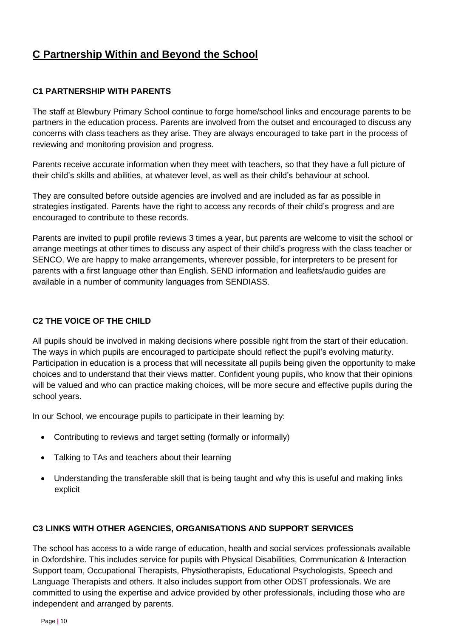## **C Partnership Within and Beyond the School**

## **C1 PARTNERSHIP WITH PARENTS**

The staff at Blewbury Primary School continue to forge home/school links and encourage parents to be partners in the education process. Parents are involved from the outset and encouraged to discuss any concerns with class teachers as they arise. They are always encouraged to take part in the process of reviewing and monitoring provision and progress.

Parents receive accurate information when they meet with teachers, so that they have a full picture of their child's skills and abilities, at whatever level, as well as their child's behaviour at school.

They are consulted before outside agencies are involved and are included as far as possible in strategies instigated. Parents have the right to access any records of their child's progress and are encouraged to contribute to these records.

Parents are invited to pupil profile reviews 3 times a year, but parents are welcome to visit the school or arrange meetings at other times to discuss any aspect of their child's progress with the class teacher or SENCO. We are happy to make arrangements, wherever possible, for interpreters to be present for parents with a first language other than English. SEND information and leaflets/audio guides are available in a number of community languages from SENDIASS.

## **C2 THE VOICE OF THE CHILD**

All pupils should be involved in making decisions where possible right from the start of their education. The ways in which pupils are encouraged to participate should reflect the pupil's evolving maturity. Participation in education is a process that will necessitate all pupils being given the opportunity to make choices and to understand that their views matter. Confident young pupils, who know that their opinions will be valued and who can practice making choices, will be more secure and effective pupils during the school years.

In our School, we encourage pupils to participate in their learning by:

- Contributing to reviews and target setting (formally or informally)
- Talking to TAs and teachers about their learning
- Understanding the transferable skill that is being taught and why this is useful and making links explicit

## **C3 LINKS WITH OTHER AGENCIES, ORGANISATIONS AND SUPPORT SERVICES**

The school has access to a wide range of education, health and social services professionals available in Oxfordshire. This includes service for pupils with Physical Disabilities, Communication & Interaction Support team, Occupational Therapists, Physiotherapists, Educational Psychologists, Speech and Language Therapists and others. It also includes support from other ODST professionals. We are committed to using the expertise and advice provided by other professionals, including those who are independent and arranged by parents.